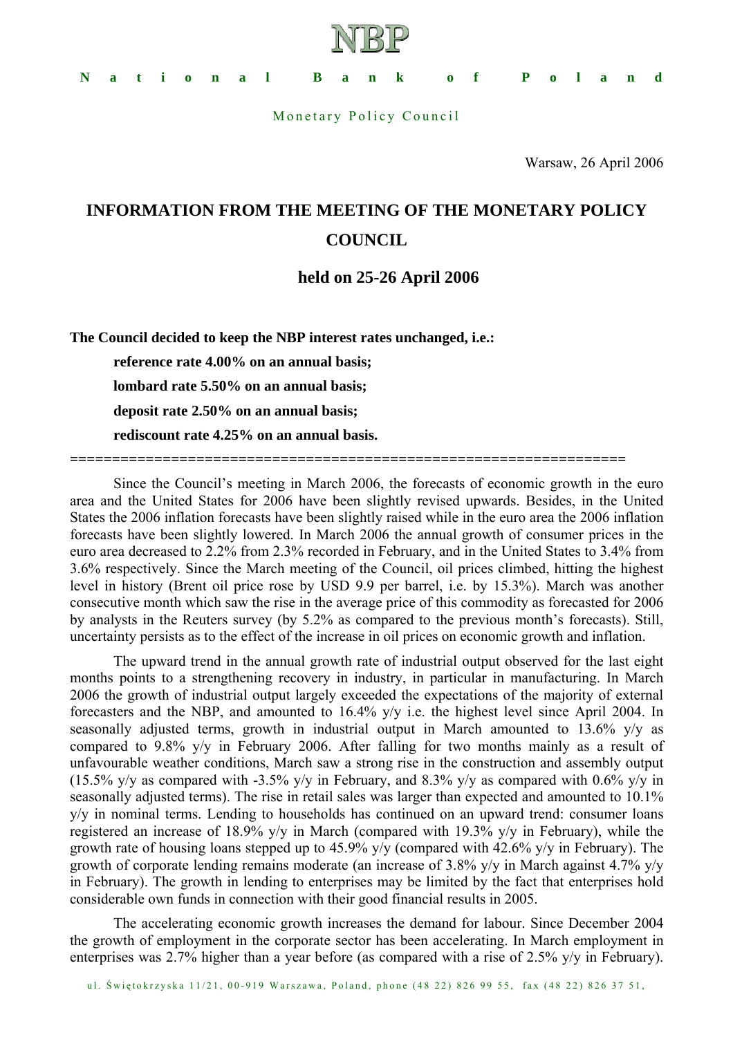

Monetary Policy Council

Warsaw, 26 April 2006

## **INFORMATION FROM THE MEETING OF THE MONETARY POLICY COUNCIL**

## **held on 25-26 April 2006**

**The Council decided to keep the NBP interest rates unchanged, i.e.:** 

**reference rate 4.00% on an annual basis; lombard rate 5.50% on an annual basis; deposit rate 2.50% on an annual basis; rediscount rate 4.25% on an annual basis.** 

**==================================================================** 

Since the Council's meeting in March 2006, the forecasts of economic growth in the euro area and the United States for 2006 have been slightly revised upwards. Besides, in the United States the 2006 inflation forecasts have been slightly raised while in the euro area the 2006 inflation forecasts have been slightly lowered. In March 2006 the annual growth of consumer prices in the euro area decreased to 2.2% from 2.3% recorded in February, and in the United States to 3.4% from 3.6% respectively. Since the March meeting of the Council, oil prices climbed, hitting the highest level in history (Brent oil price rose by USD 9.9 per barrel, i.e. by 15.3%). March was another consecutive month which saw the rise in the average price of this commodity as forecasted for 2006 by analysts in the Reuters survey (by 5.2% as compared to the previous month's forecasts). Still, uncertainty persists as to the effect of the increase in oil prices on economic growth and inflation.

The upward trend in the annual growth rate of industrial output observed for the last eight months points to a strengthening recovery in industry, in particular in manufacturing. In March 2006 the growth of industrial output largely exceeded the expectations of the majority of external forecasters and the NBP, and amounted to 16.4% y/y i.e. the highest level since April 2004. In seasonally adjusted terms, growth in industrial output in March amounted to 13.6% y/y as compared to 9.8% y/y in February 2006. After falling for two months mainly as a result of unfavourable weather conditions, March saw a strong rise in the construction and assembly output (15.5% y/y as compared with -3.5% y/y in February, and 8.3% y/y as compared with 0.6% y/y in seasonally adjusted terms). The rise in retail sales was larger than expected and amounted to 10.1% y/y in nominal terms. Lending to households has continued on an upward trend: consumer loans registered an increase of 18.9% y/y in March (compared with 19.3% y/y in February), while the growth rate of housing loans stepped up to 45.9% y/y (compared with 42.6% y/y in February). The growth of corporate lending remains moderate (an increase of 3.8% y/y in March against 4.7% y/y in February). The growth in lending to enterprises may be limited by the fact that enterprises hold considerable own funds in connection with their good financial results in 2005.

The accelerating economic growth increases the demand for labour. Since December 2004 the growth of employment in the corporate sector has been accelerating. In March employment in enterprises was 2.7% higher than a year before (as compared with a rise of 2.5% y/y in February).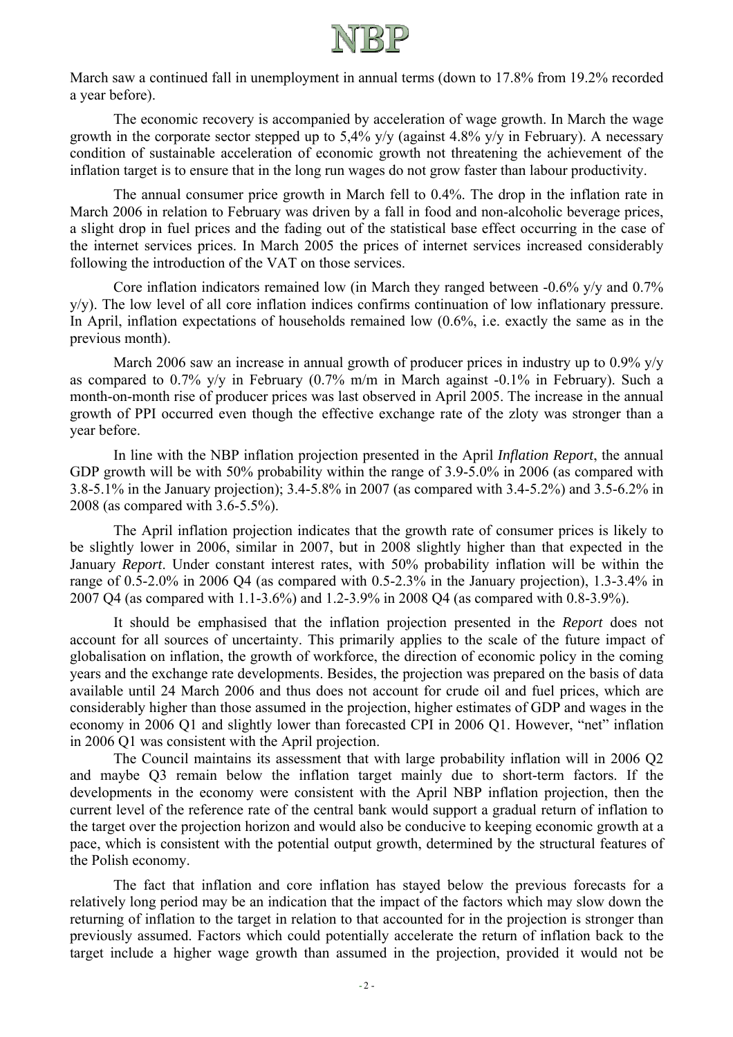

March saw a continued fall in unemployment in annual terms (down to 17.8% from 19.2% recorded a year before).

The economic recovery is accompanied by acceleration of wage growth. In March the wage growth in the corporate sector stepped up to 5,4% y/y (against 4.8% y/y in February). A necessary condition of sustainable acceleration of economic growth not threatening the achievement of the inflation target is to ensure that in the long run wages do not grow faster than labour productivity.

The annual consumer price growth in March fell to 0.4%. The drop in the inflation rate in March 2006 in relation to February was driven by a fall in food and non-alcoholic beverage prices, a slight drop in fuel prices and the fading out of the statistical base effect occurring in the case of the internet services prices. In March 2005 the prices of internet services increased considerably following the introduction of the VAT on those services.

Core inflation indicators remained low (in March they ranged between -0.6% y/y and 0.7% y/y). The low level of all core inflation indices confirms continuation of low inflationary pressure. In April, inflation expectations of households remained low (0.6%, i.e. exactly the same as in the previous month).

March 2006 saw an increase in annual growth of producer prices in industry up to 0.9% y/y as compared to 0.7% y/y in February (0.7% m/m in March against -0.1% in February). Such a month-on-month rise of producer prices was last observed in April 2005. The increase in the annual growth of PPI occurred even though the effective exchange rate of the zloty was stronger than a year before.

In line with the NBP inflation projection presented in the April *Inflation Report*, the annual GDP growth will be with 50% probability within the range of 3.9-5.0% in 2006 (as compared with 3.8-5.1% in the January projection); 3.4-5.8% in 2007 (as compared with 3.4-5.2%) and 3.5-6.2% in 2008 (as compared with 3.6-5.5%).

The April inflation projection indicates that the growth rate of consumer prices is likely to be slightly lower in 2006, similar in 2007, but in 2008 slightly higher than that expected in the January *Report*. Under constant interest rates, with 50% probability inflation will be within the range of 0.5-2.0% in 2006 Q4 (as compared with 0.5-2.3% in the January projection), 1.3-3.4% in 2007 Q4 (as compared with 1.1-3.6%) and 1.2-3.9% in 2008 Q4 (as compared with 0.8-3.9%).

It should be emphasised that the inflation projection presented in the *Report* does not account for all sources of uncertainty. This primarily applies to the scale of the future impact of globalisation on inflation, the growth of workforce, the direction of economic policy in the coming years and the exchange rate developments. Besides, the projection was prepared on the basis of data available until 24 March 2006 and thus does not account for crude oil and fuel prices, which are considerably higher than those assumed in the projection, higher estimates of GDP and wages in the economy in 2006 Q1 and slightly lower than forecasted CPI in 2006 Q1. However, "net" inflation in 2006 Q1 was consistent with the April projection.

The Council maintains its assessment that with large probability inflation will in 2006 Q2 and maybe Q3 remain below the inflation target mainly due to short-term factors. If the developments in the economy were consistent with the April NBP inflation projection, then the current level of the reference rate of the central bank would support a gradual return of inflation to the target over the projection horizon and would also be conducive to keeping economic growth at a pace, which is consistent with the potential output growth, determined by the structural features of the Polish economy.

 The fact that inflation and core inflation has stayed below the previous forecasts for a relatively long period may be an indication that the impact of the factors which may slow down the returning of inflation to the target in relation to that accounted for in the projection is stronger than previously assumed. Factors which could potentially accelerate the return of inflation back to the target include a higher wage growth than assumed in the projection, provided it would not be